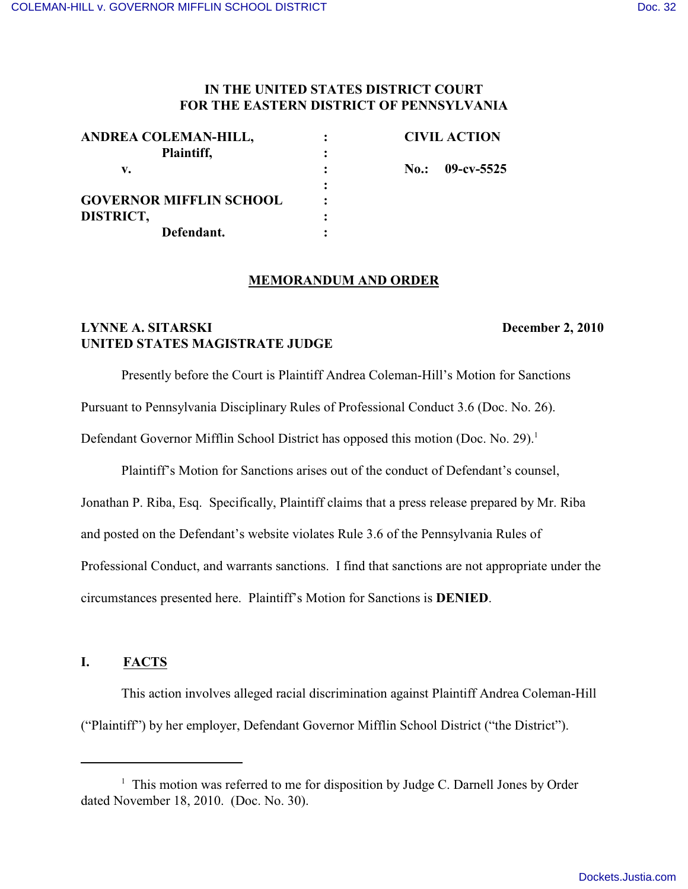## **IN THE UNITED STATES DISTRICT COURT FOR THE EASTERN DISTRICT OF PENNSYLVANIA**

| ANDREA COLEMAN-HILL,           | <b>CIVIL ACTION</b> |            |
|--------------------------------|---------------------|------------|
| Plaintiff,                     |                     |            |
| v.                             | No.:                | 09-cv-5525 |
|                                |                     |            |
| <b>GOVERNOR MIFFLIN SCHOOL</b> |                     |            |
| DISTRICT,                      |                     |            |
| Defendant.                     |                     |            |

#### **MEMORANDUM AND ORDER**

# **LYNNE A. SITARSKI** December 2, 2010 **UNITED STATES MAGISTRATE JUDGE**

Presently before the Court is Plaintiff Andrea Coleman-Hill's Motion for Sanctions

Pursuant to Pennsylvania Disciplinary Rules of Professional Conduct 3.6 (Doc. No. 26).

Defendant Governor Mifflin School District has opposed this motion (Doc. No. 29).<sup>1</sup>

Plaintiff's Motion for Sanctions arises out of the conduct of Defendant's counsel,

Jonathan P. Riba, Esq. Specifically, Plaintiff claims that a press release prepared by Mr. Riba

and posted on the Defendant's website violates Rule 3.6 of the Pennsylvania Rules of

Professional Conduct, and warrants sanctions. I find that sanctions are not appropriate under the

circumstances presented here. Plaintiff's Motion for Sanctions is **DENIED**.

# **I. FACTS**

This action involves alleged racial discrimination against Plaintiff Andrea Coleman-Hill ("Plaintiff") by her employer, Defendant Governor Mifflin School District ("the District").

 $1$  This motion was referred to me for disposition by Judge C. Darnell Jones by Order dated November 18, 2010. (Doc. No. 30).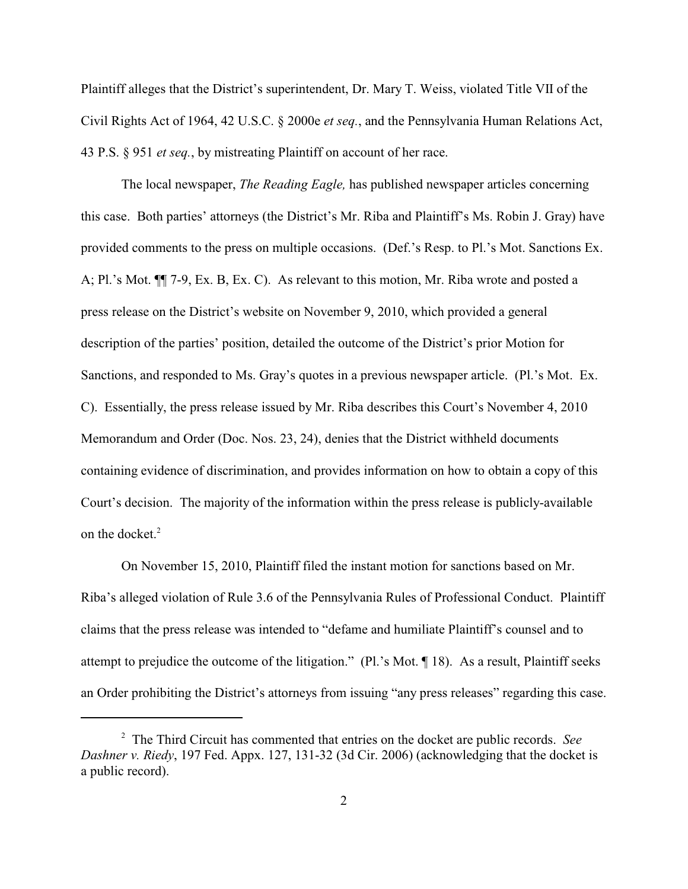Plaintiff alleges that the District's superintendent, Dr. Mary T. Weiss, violated Title VII of the Civil Rights Act of 1964, 42 U.S.C. § 2000e *et seq.*, and the Pennsylvania Human Relations Act, 43 P.S. § 951 *et seq.*, by mistreating Plaintiff on account of her race.

The local newspaper, *The Reading Eagle,* has published newspaper articles concerning this case. Both parties' attorneys (the District's Mr. Riba and Plaintiff's Ms. Robin J. Gray) have provided comments to the press on multiple occasions. (Def.'s Resp. to Pl.'s Mot. Sanctions Ex. A; Pl.'s Mot. ¶¶ 7-9, Ex. B, Ex. C). As relevant to this motion, Mr. Riba wrote and posted a press release on the District's website on November 9, 2010, which provided a general description of the parties' position, detailed the outcome of the District's prior Motion for Sanctions, and responded to Ms. Gray's quotes in a previous newspaper article. (Pl.'s Mot. Ex. C). Essentially, the press release issued by Mr. Riba describes this Court's November 4, 2010 Memorandum and Order (Doc. Nos. 23, 24), denies that the District withheld documents containing evidence of discrimination, and provides information on how to obtain a copy of this Court's decision. The majority of the information within the press release is publicly-available on the docket.<sup>2</sup>

On November 15, 2010, Plaintiff filed the instant motion for sanctions based on Mr. Riba's alleged violation of Rule 3.6 of the Pennsylvania Rules of Professional Conduct. Plaintiff claims that the press release was intended to "defame and humiliate Plaintiff's counsel and to attempt to prejudice the outcome of the litigation." (Pl.'s Mot. ¶ 18). As a result, Plaintiff seeks an Order prohibiting the District's attorneys from issuing "any press releases" regarding this case.

<sup>&</sup>lt;sup>2</sup> The Third Circuit has commented that entries on the docket are public records. *See Dashner v. Riedy*, 197 Fed. Appx. 127, 131-32 (3d Cir. 2006) (acknowledging that the docket is a public record).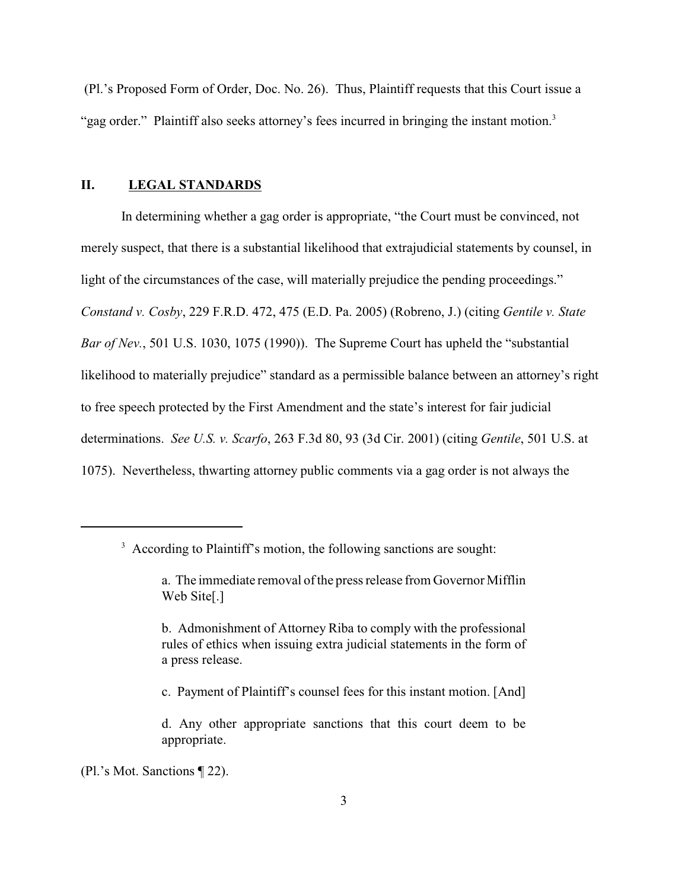(Pl.'s Proposed Form of Order, Doc. No. 26). Thus, Plaintiff requests that this Court issue a "gag order." Plaintiff also seeks attorney's fees incurred in bringing the instant motion.<sup>3</sup>

## **II. LEGAL STANDARDS**

In determining whether a gag order is appropriate, "the Court must be convinced, not merely suspect, that there is a substantial likelihood that extrajudicial statements by counsel, in light of the circumstances of the case, will materially prejudice the pending proceedings." *Constand v. Cosby*, 229 F.R.D. 472, 475 (E.D. Pa. 2005) (Robreno, J.) (citing *Gentile v. State Bar of Nev.*, 501 U.S. 1030, 1075 (1990)). The Supreme Court has upheld the "substantial likelihood to materially prejudice" standard as a permissible balance between an attorney's right to free speech protected by the First Amendment and the state's interest for fair judicial determinations. *See U.S. v. Scarfo*, 263 F.3d 80, 93 (3d Cir. 2001) (citing *Gentile*, 501 U.S. at 1075). Nevertheless, thwarting attorney public comments via a gag order is not always the

c. Payment of Plaintiff's counsel fees for this instant motion. [And]

(Pl.'s Mot. Sanctions ¶ 22).

<sup>&</sup>lt;sup>3</sup> According to Plaintiff's motion, the following sanctions are sought:

a. The immediate removal of the press release from Governor Mifflin Web Site[.]

b. Admonishment of Attorney Riba to comply with the professional rules of ethics when issuing extra judicial statements in the form of a press release.

d. Any other appropriate sanctions that this court deem to be appropriate.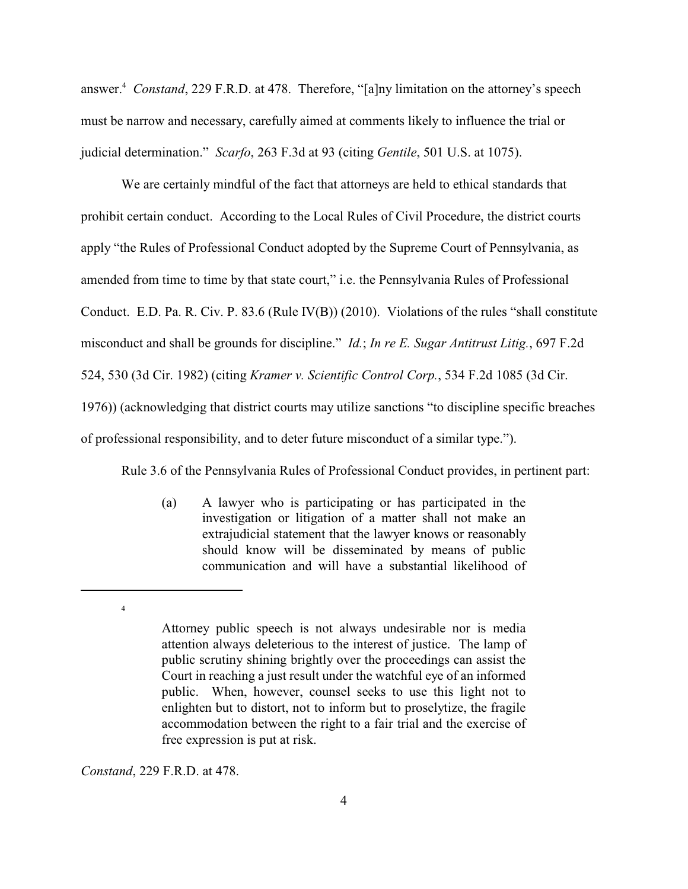answer.<sup>4</sup> Constand, 229 F.R.D. at 478. Therefore, "[a]ny limitation on the attorney's speech must be narrow and necessary, carefully aimed at comments likely to influence the trial or judicial determination." *Scarfo*, 263 F.3d at 93 (citing *Gentile*, 501 U.S. at 1075).

We are certainly mindful of the fact that attorneys are held to ethical standards that prohibit certain conduct. According to the Local Rules of Civil Procedure, the district courts apply "the Rules of Professional Conduct adopted by the Supreme Court of Pennsylvania, as amended from time to time by that state court," i.e. the Pennsylvania Rules of Professional Conduct. E.D. Pa. R. Civ. P. 83.6 (Rule IV(B)) (2010). Violations of the rules "shall constitute misconduct and shall be grounds for discipline." *Id.*; *In re E. Sugar Antitrust Litig.*, 697 F.2d 524, 530 (3d Cir. 1982) (citing *Kramer v. Scientific Control Corp.*, 534 F.2d 1085 (3d Cir. 1976)) (acknowledging that district courts may utilize sanctions "to discipline specific breaches of professional responsibility, and to deter future misconduct of a similar type.").

Rule 3.6 of the Pennsylvania Rules of Professional Conduct provides, in pertinent part:

(a) A lawyer who is participating or has participated in the investigation or litigation of a matter shall not make an extrajudicial statement that the lawyer knows or reasonably should know will be disseminated by means of public communication and will have a substantial likelihood of

*Constand*, 229 F.R.D. at 478.

4

Attorney public speech is not always undesirable nor is media attention always deleterious to the interest of justice. The lamp of public scrutiny shining brightly over the proceedings can assist the Court in reaching a just result under the watchful eye of an informed public. When, however, counsel seeks to use this light not to enlighten but to distort, not to inform but to proselytize, the fragile accommodation between the right to a fair trial and the exercise of free expression is put at risk.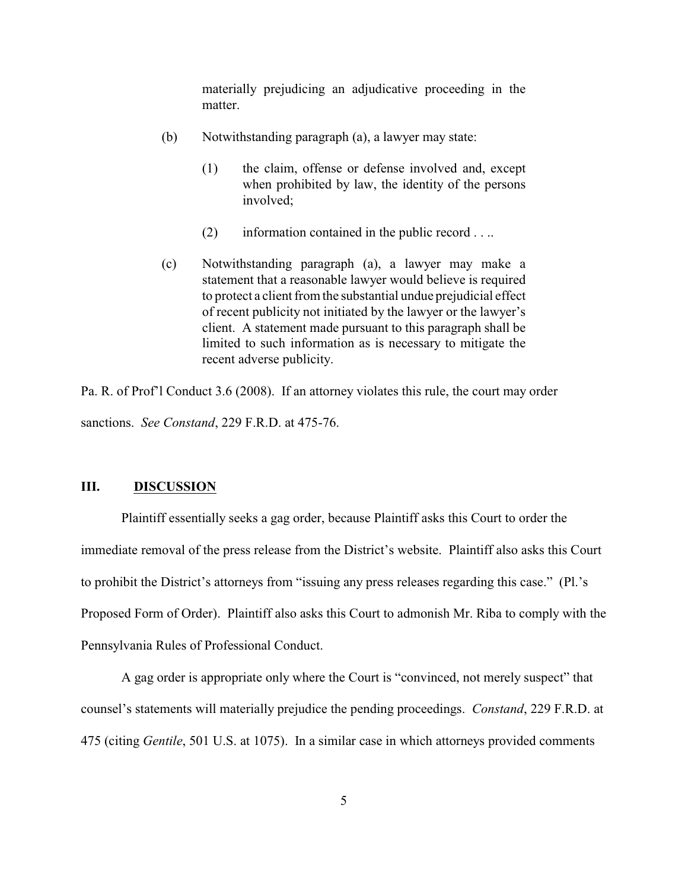materially prejudicing an adjudicative proceeding in the matter.

- (b) Notwithstanding paragraph (a), a lawyer may state:
	- (1) the claim, offense or defense involved and, except when prohibited by law, the identity of the persons involved;
	- (2) information contained in the public record . . ..
- (c) Notwithstanding paragraph (a), a lawyer may make a statement that a reasonable lawyer would believe is required to protect a client from the substantial undue prejudicial effect of recent publicity not initiated by the lawyer or the lawyer's client. A statement made pursuant to this paragraph shall be limited to such information as is necessary to mitigate the recent adverse publicity.

Pa. R. of Prof'l Conduct 3.6 (2008). If an attorney violates this rule, the court may order sanctions. *See Constand*, 229 F.R.D. at 475-76.

### **III. DISCUSSION**

Plaintiff essentially seeks a gag order, because Plaintiff asks this Court to order the immediate removal of the press release from the District's website. Plaintiff also asks this Court to prohibit the District's attorneys from "issuing any press releases regarding this case." (Pl.'s Proposed Form of Order). Plaintiff also asks this Court to admonish Mr. Riba to comply with the Pennsylvania Rules of Professional Conduct.

A gag order is appropriate only where the Court is "convinced, not merely suspect" that counsel's statements will materially prejudice the pending proceedings. *Constand*, 229 F.R.D. at 475 (citing *Gentile*, 501 U.S. at 1075). In a similar case in which attorneys provided comments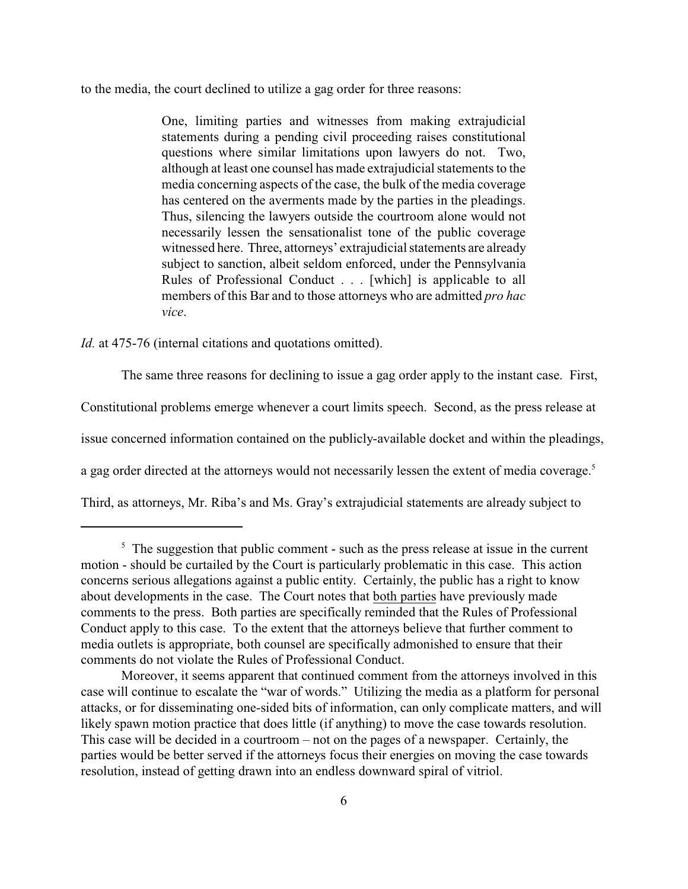to the media, the court declined to utilize a gag order for three reasons:

One, limiting parties and witnesses from making extrajudicial statements during a pending civil proceeding raises constitutional questions where similar limitations upon lawyers do not. Two, although at least one counsel has made extrajudicial statements to the media concerning aspects of the case, the bulk of the media coverage has centered on the averments made by the parties in the pleadings. Thus, silencing the lawyers outside the courtroom alone would not necessarily lessen the sensationalist tone of the public coverage witnessed here. Three, attorneys' extrajudicial statements are already subject to sanction, albeit seldom enforced, under the Pennsylvania Rules of Professional Conduct . . . [which] is applicable to all members of this Bar and to those attorneys who are admitted *pro hac vice*.

*Id.* at 475-76 (internal citations and quotations omitted).

The same three reasons for declining to issue a gag order apply to the instant case. First, Constitutional problems emerge whenever a court limits speech. Second, as the press release at issue concerned information contained on the publicly-available docket and within the pleadings, a gag order directed at the attorneys would not necessarily lessen the extent of media coverage.<sup>5</sup> Third, as attorneys, Mr. Riba's and Ms. Gray's extrajudicial statements are already subject to

 $\frac{5}{5}$  The suggestion that public comment - such as the press release at issue in the current motion - should be curtailed by the Court is particularly problematic in this case. This action concerns serious allegations against a public entity. Certainly, the public has a right to know about developments in the case. The Court notes that both parties have previously made comments to the press. Both parties are specifically reminded that the Rules of Professional Conduct apply to this case. To the extent that the attorneys believe that further comment to media outlets is appropriate, both counsel are specifically admonished to ensure that their comments do not violate the Rules of Professional Conduct.

Moreover, it seems apparent that continued comment from the attorneys involved in this case will continue to escalate the "war of words." Utilizing the media as a platform for personal attacks, or for disseminating one-sided bits of information, can only complicate matters, and will likely spawn motion practice that does little (if anything) to move the case towards resolution. This case will be decided in a courtroom – not on the pages of a newspaper. Certainly, the parties would be better served if the attorneys focus their energies on moving the case towards resolution, instead of getting drawn into an endless downward spiral of vitriol.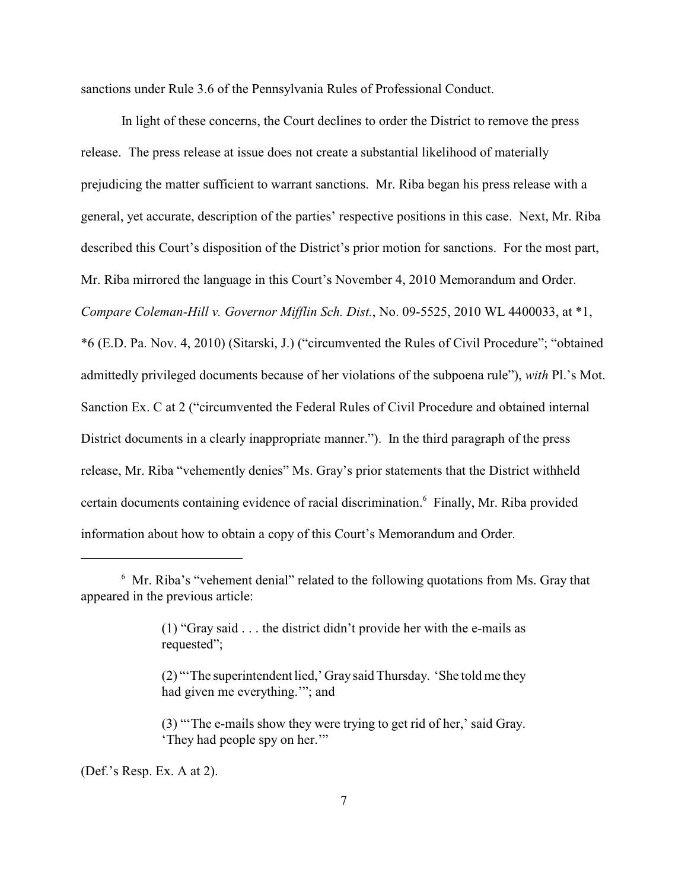sanctions under Rule 3.6 of the Pennsylvania Rules of Professional Conduct.

In light of these concerns, the Court declines to order the District to remove the press release. The press release at issue does not create a substantial likelihood of materially prejudicing the matter sufficient to warrant sanctions. Mr. Riba began his press release with a general, yet accurate, description of the parties' respective positions in this case. Next, Mr. Riba described this Court's disposition of the District's prior motion for sanctions. For the most part, Mr. Riba mirrored the language in this Court's November 4, 2010 Memorandum and Order. *Compare Coleman-Hill v. Governor Mifflin Sch. Dist.*, No. 09-5525, 2010 WL 4400033, at \*1, \*6 (E.D. Pa. Nov. 4, 2010) (Sitarski, J.) ("circumvented the Rules of Civil Procedure"; "obtained admittedly privileged documents because of her violations of the subpoena rule"), *with* Pl.'s Mot. Sanction Ex. C at 2 ("circumvented the Federal Rules of Civil Procedure and obtained internal District documents in a clearly inappropriate manner."). In the third paragraph of the press release, Mr. Riba "vehemently denies" Ms. Gray's prior statements that the District withheld certain documents containing evidence of racial discrimination.<sup>6</sup> Finally, Mr. Riba provided information about how to obtain a copy of this Court's Memorandum and Order.

(Def.'s Resp. Ex. A at 2).

 $<sup>6</sup>$  Mr. Riba's "vehement denial" related to the following quotations from Ms. Gray that</sup> appeared in the previous article:

<sup>(1) &</sup>quot;Gray said . . . the district didn't provide her with the e-mails as requested";

<sup>(2) &</sup>quot;'The superintendent lied,' Graysaid Thursday. 'She told me they had given me everything.'"; and

<sup>(3)</sup> "'The e-mails show they were trying to get rid of her,' said Gray. 'They had people spy on her.'"